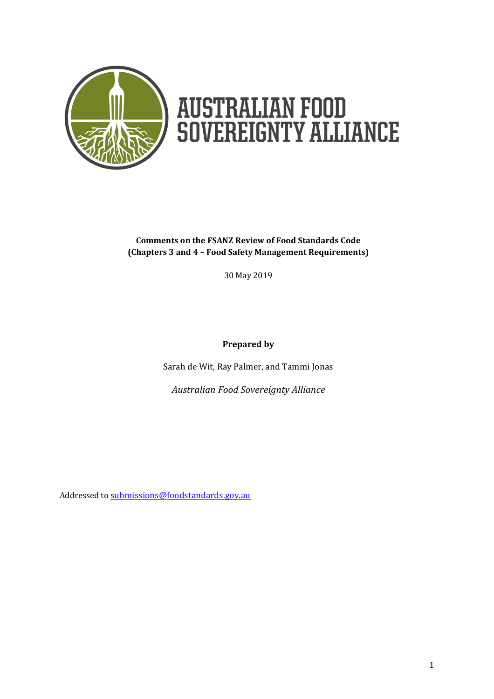

# **AUSTRALIAN FOOD<br>SOVEREIGNTY ALLIANCE**

## **Comments on the FSANZ Review of Food Standards Code (Chapters 3 and 4 – Food Safety Management Requirements)**

30 May 2019

**Prepared by**

Sarah de Wit, Ray Palmer, and Tammi Jonas

*Australian Food Sovereignty Alliance*

Addressed to [submissions@foodstandards.gov.au](mailto:submissions@foodstandards.gov.au)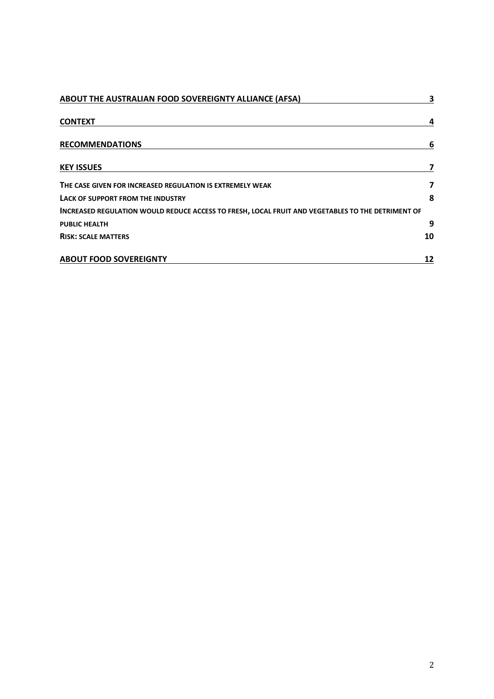| ABOUT THE AUSTRALIAN FOOD SOVEREIGNTY ALLIANCE (AFSA)                                             | 3  |  |
|---------------------------------------------------------------------------------------------------|----|--|
| <b>CONTEXT</b>                                                                                    |    |  |
| <b>RECOMMENDATIONS</b>                                                                            | 6  |  |
| <b>KEY ISSUES</b>                                                                                 |    |  |
| THE CASE GIVEN FOR INCREASED REGULATION IS EXTREMELY WEAK                                         | 7  |  |
| LACK OF SUPPORT FROM THE INDUSTRY                                                                 | 8  |  |
| INCREASED REGULATION WOULD REDUCE ACCESS TO FRESH, LOCAL FRUIT AND VEGETABLES TO THE DETRIMENT OF |    |  |
| <b>PUBLIC HEALTH</b>                                                                              | 9  |  |
| <b>RISK: SCALE MATTERS</b>                                                                        | 10 |  |
| <b>ABOUT FOOD SOVEREIGNTY</b>                                                                     | 12 |  |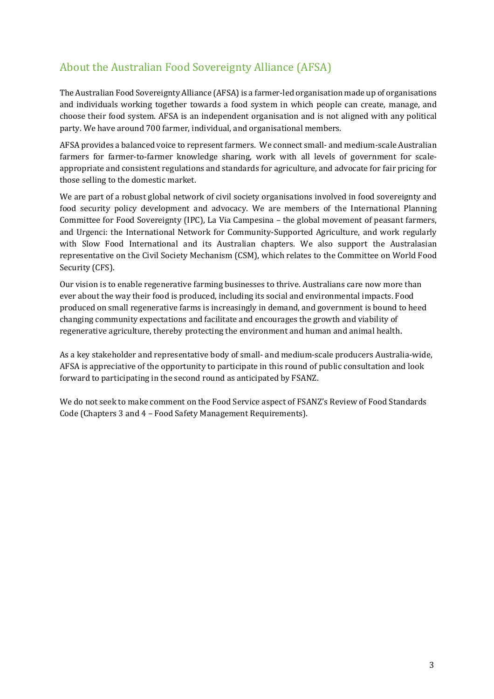# About the Australian Food Sovereignty Alliance (AFSA)

The Australian Food Sovereignty Alliance (AFSA) is a farmer-led organisation made up of organisations and individuals working together towards a food system in which people can create, manage, and choose their food system. AFSA is an independent organisation and is not aligned with any political party. We have around 700 farmer, individual, and organisational members.

AFSA provides a balanced voice to represent farmers. We connect small- and medium-scale Australian farmers for farmer-to-farmer knowledge sharing, work with all levels of government for scaleappropriate and consistent regulations and standards for agriculture, and advocate for fair pricing for those selling to the domestic market.

We are part of a robust global network of civil society organisations involved in food sovereignty and food security policy development and advocacy. We are members of the International Planning Committee for Food Sovereignty (IPC), La Via Campesina – the global movement of peasant farmers, and Urgenci: the International Network for Community-Supported Agriculture, and work regularly with Slow Food International and its Australian chapters. We also support the Australasian representative on the Civil Society Mechanism (CSM), which relates to the Committee on World Food Security (CFS).

Our vision is to enable regenerative farming businesses to thrive. Australians care now more than ever about the way their food is produced, including its social and environmental impacts. Food produced on small regenerative farms is increasingly in demand, and government is bound to heed changing community expectations and facilitate and encourages the growth and viability of regenerative agriculture, thereby protecting the environment and human and animal health.

As a key stakeholder and representative body of small- and medium-scale producers Australia-wide, AFSA is appreciative of the opportunity to participate in this round of public consultation and look forward to participating in the second round as anticipated by FSANZ.

We do not seek to make comment on the Food Service aspect of FSANZ's Review of Food Standards Code (Chapters 3 and 4 – Food Safety Management Requirements).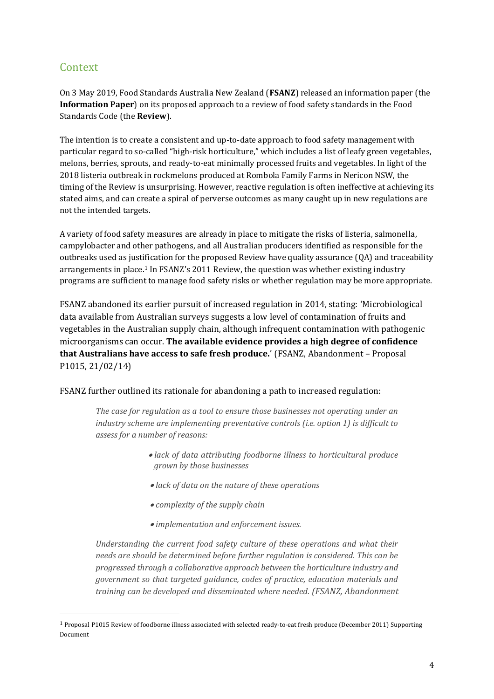# Context

l

On 3 May 2019, Food Standards Australia New Zealand (**FSANZ**) released an information paper (the **Information Paper**) on its proposed approach to a review of food safety standards in the Food Standards Code (the **Review**).

The intention is to create a consistent and up-to-date approach to food safety management with particular regard to so-called "high-risk horticulture," which includes a list of leafy green vegetables, melons, berries, sprouts, and ready-to-eat minimally processed fruits and vegetables. In light of the 2018 listeria outbreak in rockmelons produced at Rombola Family Farms in Nericon NSW, the timing of the Review is unsurprising. However, reactive regulation is often ineffective at achieving its stated aims, and can create a spiral of perverse outcomes as many caught up in new regulations are not the intended targets.

A variety of food safety measures are already in place to mitigate the risks of listeria, salmonella, campylobacter and other pathogens, and all Australian producers identified as responsible for the outbreaks used as justification for the proposed Review have quality assurance (QA) and traceability arrangements in place. <sup>1</sup> In FSANZ's 2011 Review, the question was whether existing industry programs are sufficient to manage food safety risks or whether regulation may be more appropriate.

FSANZ abandoned its earlier pursuit of increased regulation in 2014, stating: 'Microbiological data available from Australian surveys suggests a low level of contamination of fruits and vegetables in the Australian supply chain, although infrequent contamination with pathogenic microorganisms can occur. **The available evidence provides a high degree of confidence that Australians have access to safe fresh produce.**' (FSANZ, Abandonment – Proposal P1015, 21/02/14)

#### FSANZ further outlined its rationale for abandoning a path to increased regulation:

*The case for regulation as a tool to ensure those businesses not operating under an industry scheme are implementing preventative controls (i.e. option 1) is difficult to assess for a number of reasons:* 

- *lack of data attributing foodborne illness to horticultural produce grown by those businesses*
- *lack of data on the nature of these operations*
- *complexity of the supply chain*
- *implementation and enforcement issues.*

*Understanding the current food safety culture of these operations and what their needs are should be determined before further regulation is considered. This can be progressed through a collaborative approach between the horticulture industry and government so that targeted guidance, codes of practice, education materials and training can be developed and disseminated where needed. (FSANZ, Abandonment* 

<sup>1</sup> Proposal P1015 Review of foodborne illness associated with selected ready-to-eat fresh produce (December 2011) Supporting Document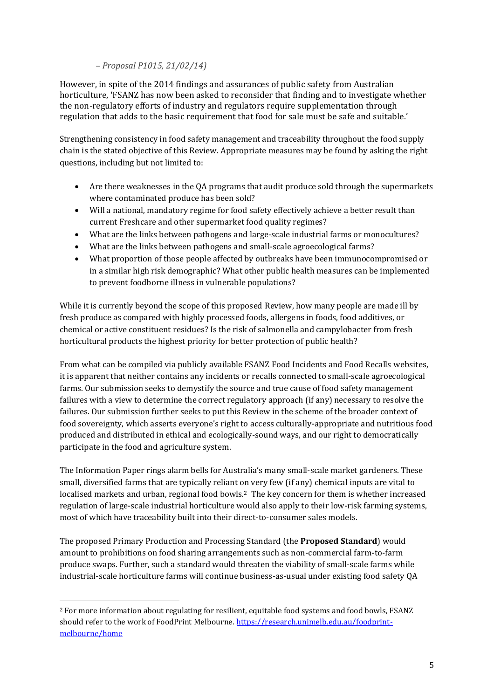### *– Proposal P1015, 21/02/14)*

However, in spite of the 2014 findings and assurances of public safety from Australian horticulture, 'FSANZ has now been asked to reconsider that finding and to investigate whether the non-regulatory efforts of industry and regulators require supplementation through regulation that adds to the basic requirement that food for sale must be safe and suitable.'

Strengthening consistency in food safety management and traceability throughout the food supply chain is the stated objective of this Review. Appropriate measures may be found by asking the right questions, including but not limited to:

- Are there weaknesses in the QA programs that audit produce sold through the supermarkets where contaminated produce has been sold?
- Will a national, mandatory regime for food safety effectively achieve a better result than current Freshcare and other supermarket food quality regimes?
- What are the links between pathogens and large-scale industrial farms or monocultures?
- What are the links between pathogens and small-scale agroecological farms?
- What proportion of those people affected by outbreaks have been immunocompromised or in a similar high risk demographic? What other public health measures can be implemented to prevent foodborne illness in vulnerable populations?

While it is currently beyond the scope of this proposed Review, how many people are made ill by fresh produce as compared with highly processed foods, allergens in foods, food additives, or chemical or active constituent residues? Is the risk of salmonella and campylobacter from fresh horticultural products the highest priority for better protection of public health?

From what can be compiled via publicly available FSANZ Food Incidents and Food Recalls websites, it is apparent that neither contains any incidents or recalls connected to small-scale agroecological farms. Our submission seeks to demystify the source and true cause of food safety management failures with a view to determine the correct regulatory approach (if any) necessary to resolve the failures. Our submission further seeks to put this Review in the scheme of the broader context of food sovereignty, which asserts everyone's right to access culturally-appropriate and nutritious food produced and distributed in ethical and ecologically-sound ways, and our right to democratically participate in the food and agriculture system.

The Information Paper rings alarm bells for Australia's many small-scale market gardeners. These small, diversified farms that are typically reliant on very few (if any) chemical inputs are vital to localised markets and urban, regional food bowls.<sup>2</sup> The key concern for them is whether increased regulation of large-scale industrial horticulture would also apply to their low-risk farming systems, most of which have traceability built into their direct-to-consumer sales models.

The proposed Primary Production and Processing Standard (the **Proposed Standard**) would amount to prohibitions on food sharing arrangements such as non-commercial farm-to-farm produce swaps. Further, such a standard would threaten the viability of small-scale farms while industrial-scale horticulture farms will continue business-as-usual under existing food safety QA

l

<sup>2</sup> For more information about regulating for resilient, equitable food systems and food bowls, FSANZ should refer to the work of FoodPrint Melbourne[. https://research.unimelb.edu.au/foodprint](https://research.unimelb.edu.au/foodprint-melbourne/home)[melbourne/home](https://research.unimelb.edu.au/foodprint-melbourne/home)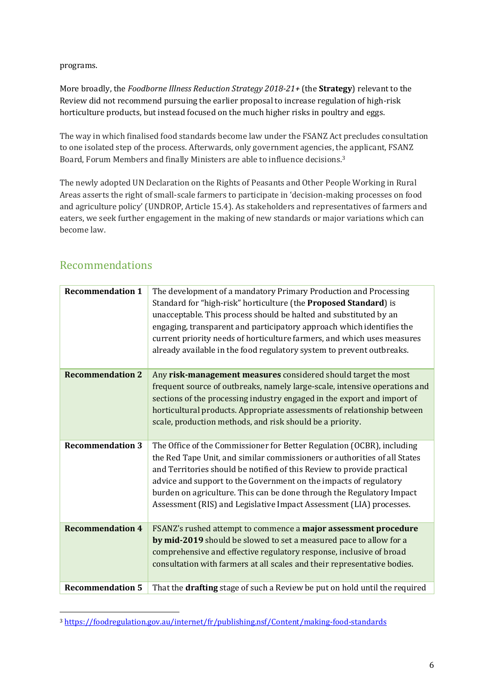programs.

More broadly, the *Foodborne Illness Reduction Strategy 2018-21+* (the **Strategy**) relevant to the Review did not recommend pursuing the earlier proposal to increase regulation of high-risk horticulture products, but instead focused on the much higher risks in poultry and eggs.

The way in which finalised food standards become law under the FSANZ Act precludes consultation to one isolated step of the process. Afterwards, only government agencies, the applicant, FSANZ Board, Forum Members and finally Ministers are able to influence decisions.<sup>3</sup>

The newly adopted UN Declaration on the Rights of Peasants and Other People Working in Rural Areas asserts the right of small-scale farmers to participate in 'decision-making processes on food and agriculture policy' (UNDROP, Article 15.4). As stakeholders and representatives of farmers and eaters, we seek further engagement in the making of new standards or major variations which can become law.

| <b>Recommendation 1</b><br>The development of a mandatory Primary Production and Processing<br>Standard for "high-risk" horticulture (the Proposed Standard) is<br>unacceptable. This process should be halted and substituted by an<br>engaging, transparent and participatory approach which identifies the<br>current priority needs of horticulture farmers, and which uses measures<br>already available in the food regulatory system to prevent outbreaks.<br>Any risk-management measures considered should target the most<br><b>Recommendation 2</b><br>frequent source of outbreaks, namely large-scale, intensive operations and<br>sections of the processing industry engaged in the export and import of<br>horticultural products. Appropriate assessments of relationship between<br>scale, production methods, and risk should be a priority.<br><b>Recommendation 3</b><br>The Office of the Commissioner for Better Regulation (OCBR), including<br>the Red Tape Unit, and similar commissioners or authorities of all States<br>and Territories should be notified of this Review to provide practical<br>advice and support to the Government on the impacts of regulatory<br>burden on agriculture. This can be done through the Regulatory Impact<br>Assessment (RIS) and Legislative Impact Assessment (LIA) processes.<br><b>Recommendation 4</b><br>FSANZ's rushed attempt to commence a major assessment procedure<br>by mid-2019 should be slowed to set a measured pace to allow for a<br>comprehensive and effective regulatory response, inclusive of broad<br>consultation with farmers at all scales and their representative bodies.<br><b>Recommendation 5</b> |                                                                            |
|----------------------------------------------------------------------------------------------------------------------------------------------------------------------------------------------------------------------------------------------------------------------------------------------------------------------------------------------------------------------------------------------------------------------------------------------------------------------------------------------------------------------------------------------------------------------------------------------------------------------------------------------------------------------------------------------------------------------------------------------------------------------------------------------------------------------------------------------------------------------------------------------------------------------------------------------------------------------------------------------------------------------------------------------------------------------------------------------------------------------------------------------------------------------------------------------------------------------------------------------------------------------------------------------------------------------------------------------------------------------------------------------------------------------------------------------------------------------------------------------------------------------------------------------------------------------------------------------------------------------------------------------------------------------------------------------------|----------------------------------------------------------------------------|
|                                                                                                                                                                                                                                                                                                                                                                                                                                                                                                                                                                                                                                                                                                                                                                                                                                                                                                                                                                                                                                                                                                                                                                                                                                                                                                                                                                                                                                                                                                                                                                                                                                                                                                    |                                                                            |
|                                                                                                                                                                                                                                                                                                                                                                                                                                                                                                                                                                                                                                                                                                                                                                                                                                                                                                                                                                                                                                                                                                                                                                                                                                                                                                                                                                                                                                                                                                                                                                                                                                                                                                    |                                                                            |
|                                                                                                                                                                                                                                                                                                                                                                                                                                                                                                                                                                                                                                                                                                                                                                                                                                                                                                                                                                                                                                                                                                                                                                                                                                                                                                                                                                                                                                                                                                                                                                                                                                                                                                    |                                                                            |
|                                                                                                                                                                                                                                                                                                                                                                                                                                                                                                                                                                                                                                                                                                                                                                                                                                                                                                                                                                                                                                                                                                                                                                                                                                                                                                                                                                                                                                                                                                                                                                                                                                                                                                    |                                                                            |
|                                                                                                                                                                                                                                                                                                                                                                                                                                                                                                                                                                                                                                                                                                                                                                                                                                                                                                                                                                                                                                                                                                                                                                                                                                                                                                                                                                                                                                                                                                                                                                                                                                                                                                    | That the drafting stage of such a Review be put on hold until the required |

# Recommendations

l

<sup>3</sup> <https://foodregulation.gov.au/internet/fr/publishing.nsf/Content/making-food-standards>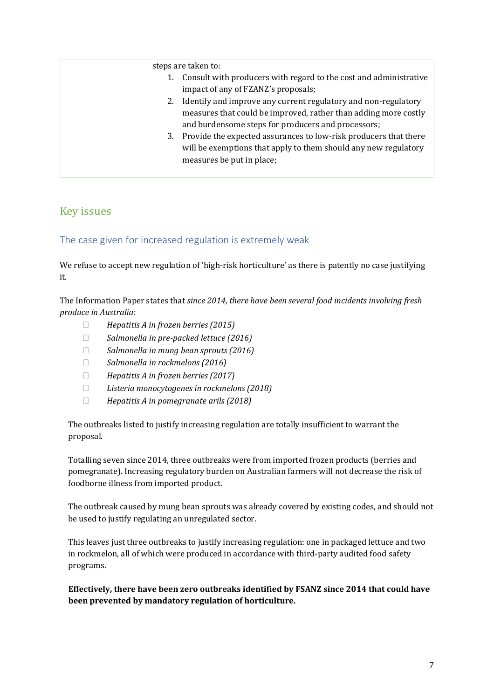|    | steps are taken to:                                               |
|----|-------------------------------------------------------------------|
|    | Consult with producers with regard to the cost and administrative |
|    | impact of any of FZANZ's proposals;                               |
| 2. | Identify and improve any current regulatory and non-regulatory    |
|    | measures that could be improved, rather than adding more costly   |
|    | and burdensome steps for producers and processors;                |
| 3. | Provide the expected assurances to low-risk producers that there  |
|    | will be exemptions that apply to them should any new regulatory   |
|    | measures be put in place;                                         |
|    |                                                                   |

# Key issues

## The case given for increased regulation is extremely weak

We refuse to accept new regulation of 'high-risk horticulture' as there is patently no case justifying it.

The Information Paper states that *since 2014, there have been several food incidents involving fresh produce in Australia:*

- *Hepatitis A in frozen berries (2015)*
- *Salmonella in pre-packed lettuce (2016)*
- *Salmonella in mung bean sprouts (2016)*
- *Salmonella in rockmelons (2016)*
- *Hepatitis A in frozen berries (2017)*
- *Listeria monocytogenes in rockmelons (2018)*
- *Hepatitis A in pomegranate arils (2018)*

The outbreaks listed to justify increasing regulation are totally insufficient to warrant the proposal.

Totalling seven since 2014, three outbreaks were from imported frozen products (berries and pomegranate). Increasing regulatory burden on Australian farmers will not decrease the risk of foodborne illness from imported product.

The outbreak caused by mung bean sprouts was already covered by existing codes, and should not be used to justify regulating an unregulated sector.

This leaves just three outbreaks to justify increasing regulation: one in packaged lettuce and two in rockmelon, all of which were produced in accordance with third-party audited food safety programs.

**Effectively, there have been zero outbreaks identified by FSANZ since 2014 that could have been prevented by mandatory regulation of horticulture.**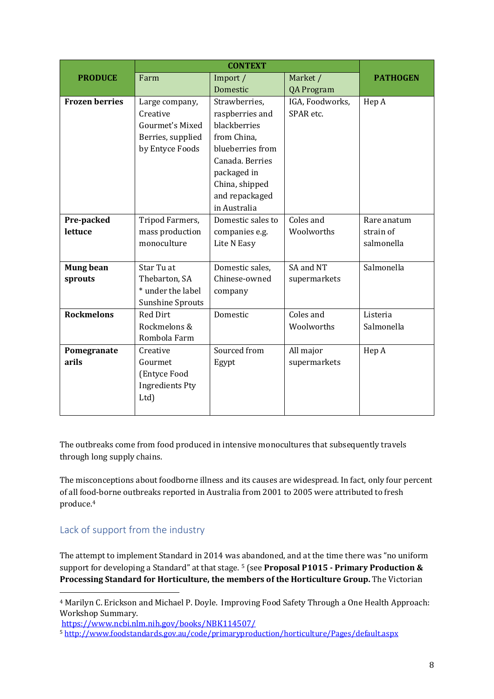|                       |                         | <b>CONTEXT</b>    |                   |                 |
|-----------------------|-------------------------|-------------------|-------------------|-----------------|
| <b>PRODUCE</b>        | Farm                    | Import /          | Market /          | <b>PATHOGEN</b> |
|                       |                         | Domestic          | <b>QA Program</b> |                 |
| <b>Frozen berries</b> | Large company,          | Strawberries,     | IGA, Foodworks,   | Hep A           |
|                       | Creative                | raspberries and   | SPAR etc.         |                 |
|                       | Gourmet's Mixed         | blackberries      |                   |                 |
|                       | Berries, supplied       | from China,       |                   |                 |
|                       | by Entyce Foods         | blueberries from  |                   |                 |
|                       |                         | Canada. Berries   |                   |                 |
|                       |                         | packaged in       |                   |                 |
|                       |                         | China, shipped    |                   |                 |
|                       |                         | and repackaged    |                   |                 |
|                       |                         | in Australia      |                   |                 |
| Pre-packed            | Tripod Farmers,         | Domestic sales to | Coles and         | Rare anatum     |
| lettuce               | mass production         | companies e.g.    | Woolworths        | strain of       |
|                       | monoculture             | Lite N Easy       |                   | salmonella      |
|                       |                         |                   |                   |                 |
| <b>Mung bean</b>      | Star Tu at              | Domestic sales,   | SA and NT         | Salmonella      |
| sprouts               | Thebarton, SA           | Chinese-owned     | supermarkets      |                 |
|                       | * under the label       | company           |                   |                 |
|                       | <b>Sunshine Sprouts</b> |                   |                   |                 |
| <b>Rockmelons</b>     | <b>Red Dirt</b>         | Domestic          | Coles and         | Listeria        |
|                       | Rockmelons &            |                   | Woolworths        | Salmonella      |
|                       | Rombola Farm            |                   |                   |                 |
| Pomegranate           | Creative                | Sourced from      | All major         | Hep A           |
| arils                 | Gourmet                 | Egypt             | supermarkets      |                 |
|                       | (Entyce Food            |                   |                   |                 |
|                       | <b>Ingredients Pty</b>  |                   |                   |                 |
|                       | Ltd)                    |                   |                   |                 |
|                       |                         |                   |                   |                 |

The outbreaks come from food produced in intensive monocultures that subsequently travels through long supply chains.

The misconceptions about foodborne illness and its causes are widespread. In fact, only four percent of all food-borne outbreaks reported in Australia from 2001 to 2005 were attributed to fresh produce. 4

## Lack of support from the industry

l

The attempt to implement Standard in 2014 was abandoned, and at the time there was "no uniform support for developing a Standard" at that stage. <sup>5</sup> (see **Proposal P1015 - Primary Production & Processing Standard for Horticulture, the members of the Horticulture Group.** The Victorian

<sup>4</sup> Marilyn C. Erickson and Michael P. Doyle. Improving Food Safety Through a One Health Approach: Workshop Summary.

<https://www.ncbi.nlm.nih.gov/books/NBK114507/>

<sup>5</sup> <http://www.foodstandards.gov.au/code/primaryproduction/horticulture/Pages/default.aspx>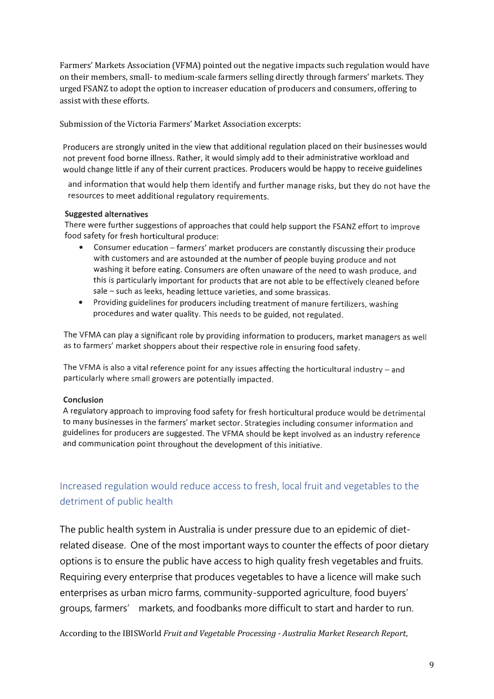Farmers' Markets Association (VFMA) pointed out the negative impacts such regulation would have on their members, small- to medium-scale farmers selling directly through farmers' markets. They urged FSANZ to adopt the option to increaser education of producers and consumers, offering to assist with these efforts.

Submission of the Victoria Farmers' Market Association excerpts:

Producers are strongly united in the view that additional regulation placed on their businesses would not prevent food borne illness. Rather, it would simply add to their administrative workload and would change little if any of their current practices. Producers would be happy to receive guidelines

and information that would help them identify and further manage risks, but they do not have the resources to meet additional regulatory requirements.

#### **Suggested alternatives**

There were further suggestions of approaches that could help support the FSANZ effort to improve food safety for fresh horticultural produce:

- Consumer education farmers' market producers are constantly discussing their produce with customers and are astounded at the number of people buying produce and not washing it before eating. Consumers are often unaware of the need to wash produce, and this is particularly important for products that are not able to be effectively cleaned before sale - such as leeks, heading lettuce varieties, and some brassicas.
- Providing guidelines for producers including treatment of manure fertilizers, washing procedures and water quality. This needs to be guided, not regulated.

The VFMA can play a significant role by providing information to producers, market managers as well as to farmers' market shoppers about their respective role in ensuring food safety.

The VFMA is also a vital reference point for any issues affecting the horticultural industry  $-$  and particularly where small growers are potentially impacted.

#### Conclusion

A regulatory approach to improving food safety for fresh horticultural produce would be detrimental to many businesses in the farmers' market sector. Strategies including consumer information and guidelines for producers are suggested. The VFMA should be kept involved as an industry reference and communication point throughout the development of this initiative.

# Increased regulation would reduce access to fresh, local fruit and vegetables to the detriment of public health

The public health system in Australia is under pressure due to an epidemic of dietrelated disease. One of the most important ways to counter the effects of poor dietary options is to ensure the public have access to high quality fresh vegetables and fruits. Requiring every enterprise that produces vegetables to have a licence will make such enterprises as urban micro farms, community-supported agriculture, food buyers' groups, farmers' markets, and foodbanks more difficult to start and harder to run.

According to the IBISWorld *Fruit and Vegetable Processing - Australia Market Research Report*,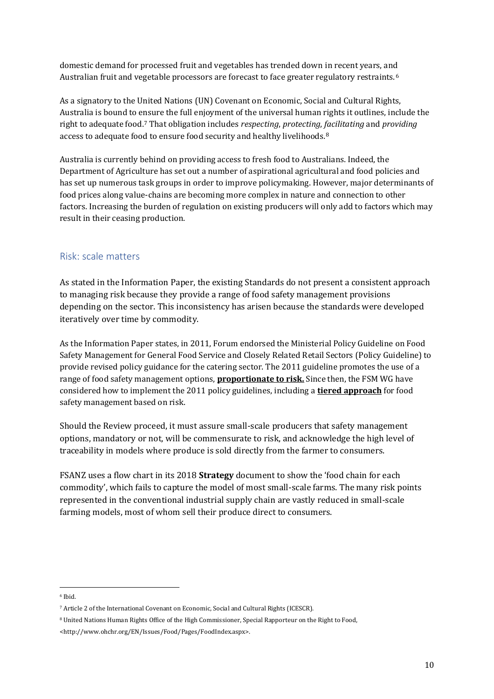domestic demand for processed fruit and vegetables has trended down in recent years, and Australian fruit and vegetable processors are forecast to face greater regulatory restraints.<sup>6</sup>

As a signatory to the United Nations (UN) Covenant on Economic, Social and Cultural Rights, Australia is bound to ensure the full enjoyment of the universal human rights it outlines, include the right to adequate food.<sup>7</sup> That obligation includes *respecting*, *protecting*, *facilitating* and *providing* access to adequate food to ensure food security and healthy livelihoods.<sup>8</sup>

Australia is currently behind on providing access to fresh food to Australians. Indeed, the Department of Agriculture has set out a number of aspirational agricultural and food policies and has set up numerous task groups in order to improve policymaking. However, major determinants of food prices along value-chains are becoming more complex in nature and connection to other factors. Increasing the burden of regulation on existing producers will only add to factors which may result in their ceasing production.

## Risk: scale matters

As stated in the Information Paper, the existing Standards do not present a consistent approach to managing risk because they provide a range of food safety management provisions depending on the sector. This inconsistency has arisen because the standards were developed iteratively over time by commodity.

As the Information Paper states, in 2011, Forum endorsed the Ministerial Policy Guideline on Food Safety Management for General Food Service and Closely Related Retail Sectors (Policy Guideline) to provide revised policy guidance for the catering sector. The 2011 guideline promotes the use of a range of food safety management options, **proportionate to risk.** Since then, the FSM WG have considered how to implement the 2011 policy guidelines, including a **tiered approach** for food safety management based on risk.

Should the Review proceed, it must assure small-scale producers that safety management options, mandatory or not, will be commensurate to risk, and acknowledge the high level of traceability in models where produce is sold directly from the farmer to consumers.

FSANZ uses a flow chart in its 2018 **Strategy** document to show the 'food chain for each commodity', which fails to capture the model of most small-scale farms. The many risk points represented in the conventional industrial supply chain are vastly reduced in small-scale farming models, most of whom sell their produce direct to consumers.

l <sup>6</sup> Ibid.

<sup>7</sup> Article 2 of the International Covenant on Economic, Social and Cultural Rights (ICESCR).

<sup>8</sup> United Nations Human Rights Office of the High Commissioner, Special Rapporteur on the Right to Food,

<sup>&</sup>lt;http://www.ohchr.org/EN/Issues/Food/Pages/FoodIndex.aspx>.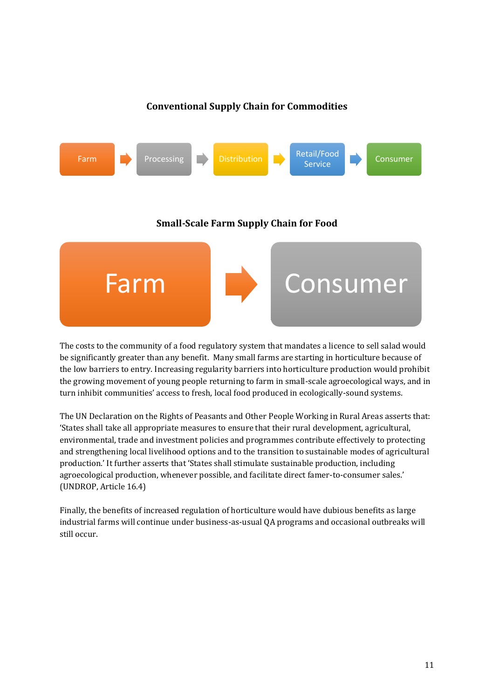## **Conventional Supply Chain for Commodities**



The costs to the community of a food regulatory system that mandates a licence to sell salad would be significantly greater than any benefit. Many small farms are starting in horticulture because of the low barriers to entry. Increasing regularity barriers into horticulture production would prohibit the growing movement of young people returning to farm in small-scale agroecological ways, and in turn inhibit communities' access to fresh, local food produced in ecologically-sound systems.

The UN Declaration on the Rights of Peasants and Other People Working in Rural Areas asserts that: 'States shall take all appropriate measures to ensure that their rural development, agricultural, environmental, trade and investment policies and programmes contribute effectively to protecting and strengthening local livelihood options and to the transition to sustainable modes of agricultural production.' It further asserts that 'States shall stimulate sustainable production, including agroecological production, whenever possible, and facilitate direct famer-to-consumer sales.' (UNDROP, Article 16.4)

Finally, the benefits of increased regulation of horticulture would have dubious benefits as large industrial farms will continue under business-as-usual QA programs and occasional outbreaks will still occur.